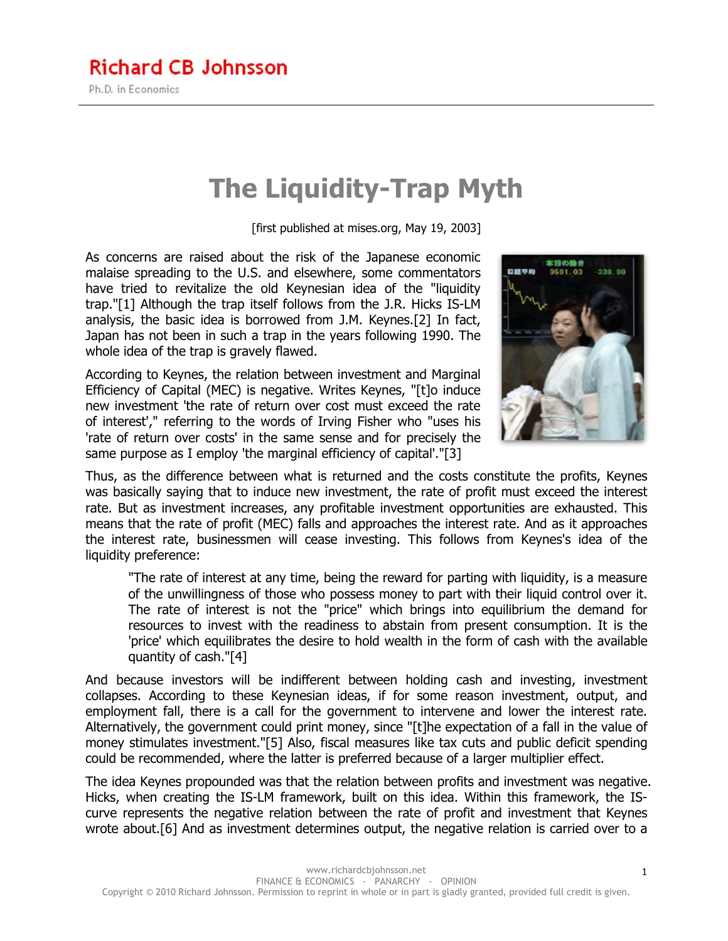# **The Liquidity-Trap Myth**

[first published at mises.org, May 19, 2003]

As concerns are raised about the risk of the Japanese economic malaise spreading to the U.S. and elsewhere, some commentators have tried to revitalize the old Keynesian idea of the "liquidity trap."[1] Although the trap itself follows from the J.R. Hicks IS-LM analysis, the basic idea is borrowed from J.M. Keynes.[2] In fact, Japan has not been in such a trap in the years following 1990. The whole idea of the trap is gravely flawed.

According to Keynes, the relation between investment and Marginal Efficiency of Capital (MEC) is negative. Writes Keynes, "[t]o induce new investment 'the rate of return over cost must exceed the rate of interest'," referring to the words of Irving Fisher who "uses his 'rate of return over costs' in the same sense and for precisely the same purpose as I employ 'the marginal efficiency of capital'."[3]



1

Thus, as the difference between what is returned and the costs constitute the profits, Keynes was basically saying that to induce new investment, the rate of profit must exceed the interest rate. But as investment increases, any profitable investment opportunities are exhausted. This means that the rate of profit (MEC) falls and approaches the interest rate. And as it approaches the interest rate, businessmen will cease investing. This follows from Keynes's idea of the liquidity preference:

"The rate of interest at any time, being the reward for parting with liquidity, is a measure of the unwillingness of those who possess money to part with their liquid control over it. The rate of interest is not the "price" which brings into equilibrium the demand for resources to invest with the readiness to abstain from present consumption. It is the 'price' which equilibrates the desire to hold wealth in the form of cash with the available quantity of cash."[4]

And because investors will be indifferent between holding cash and investing, investment collapses. According to these Keynesian ideas, if for some reason investment, output, and employment fall, there is a call for the government to intervene and lower the interest rate. Alternatively, the government could print money, since "[t]he expectation of a fall in the value of money stimulates investment."[5] Also, fiscal measures like tax cuts and public deficit spending could be recommended, where the latter is preferred because of a larger multiplier effect.

The idea Keynes propounded was that the relation between profits and investment was negative. Hicks, when creating the IS-LM framework, built on this idea. Within this framework, the IScurve represents the negative relation between the rate of profit and investment that Keynes wrote about.[6] And as investment determines output, the negative relation is carried over to a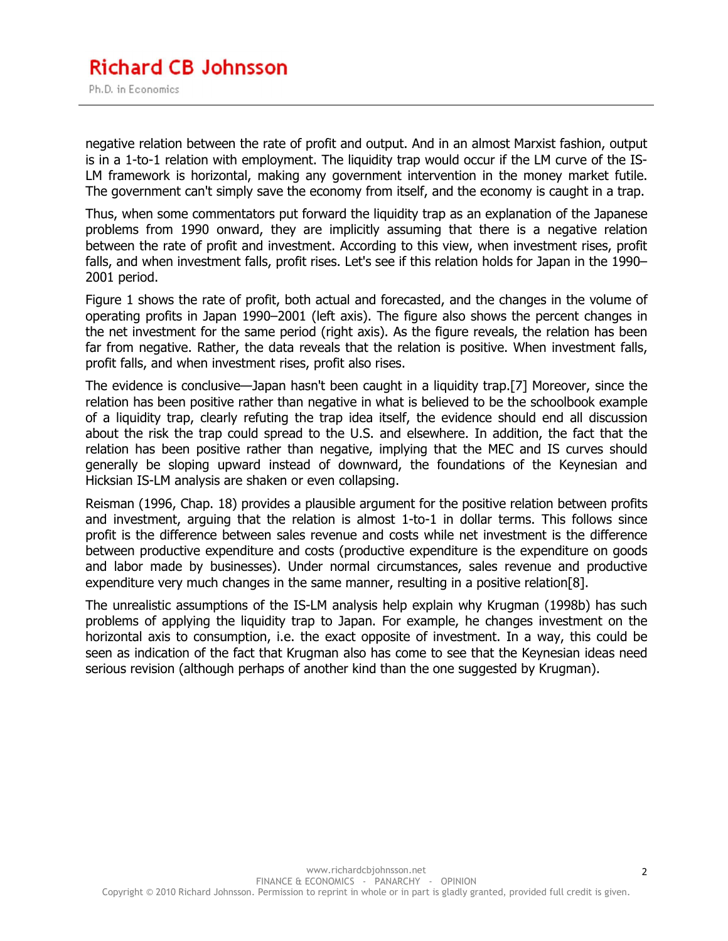negative relation between the rate of profit and output. And in an almost Marxist fashion, output is in a 1-to-1 relation with employment. The liquidity trap would occur if the LM curve of the IS-LM framework is horizontal, making any government intervention in the money market futile. The government can't simply save the economy from itself, and the economy is caught in a trap.

Thus, when some commentators put forward the liquidity trap as an explanation of the Japanese problems from 1990 onward, they are implicitly assuming that there is a negative relation between the rate of profit and investment. According to this view, when investment rises, profit falls, and when investment falls, profit rises. Let's see if this relation holds for Japan in the 1990– 2001 period.

Figure 1 shows the rate of profit, both actual and forecasted, and the changes in the volume of operating profits in Japan 1990–2001 (left axis). The figure also shows the percent changes in the net investment for the same period (right axis). As the figure reveals, the relation has been far from negative. Rather, the data reveals that the relation is positive. When investment falls, profit falls, and when investment rises, profit also rises.

The evidence is conclusive—Japan hasn't been caught in a liquidity trap.[7] Moreover, since the relation has been positive rather than negative in what is believed to be the schoolbook example of a liquidity trap, clearly refuting the trap idea itself, the evidence should end all discussion about the risk the trap could spread to the U.S. and elsewhere. In addition, the fact that the relation has been positive rather than negative, implying that the MEC and IS curves should generally be sloping upward instead of downward, the foundations of the Keynesian and Hicksian IS-LM analysis are shaken or even collapsing.

Reisman (1996, Chap. 18) provides a plausible argument for the positive relation between profits and investment, arguing that the relation is almost 1-to-1 in dollar terms. This follows since profit is the difference between sales revenue and costs while net investment is the difference between productive expenditure and costs (productive expenditure is the expenditure on goods and labor made by businesses). Under normal circumstances, sales revenue and productive expenditure very much changes in the same manner, resulting in a positive relation[8].

The unrealistic assumptions of the IS-LM analysis help explain why Krugman (1998b) has such problems of applying the liquidity trap to Japan. For example, he changes investment on the horizontal axis to consumption, i.e. the exact opposite of investment. In a way, this could be seen as indication of the fact that Krugman also has come to see that the Keynesian ideas need serious revision (although perhaps of another kind than the one suggested by Krugman).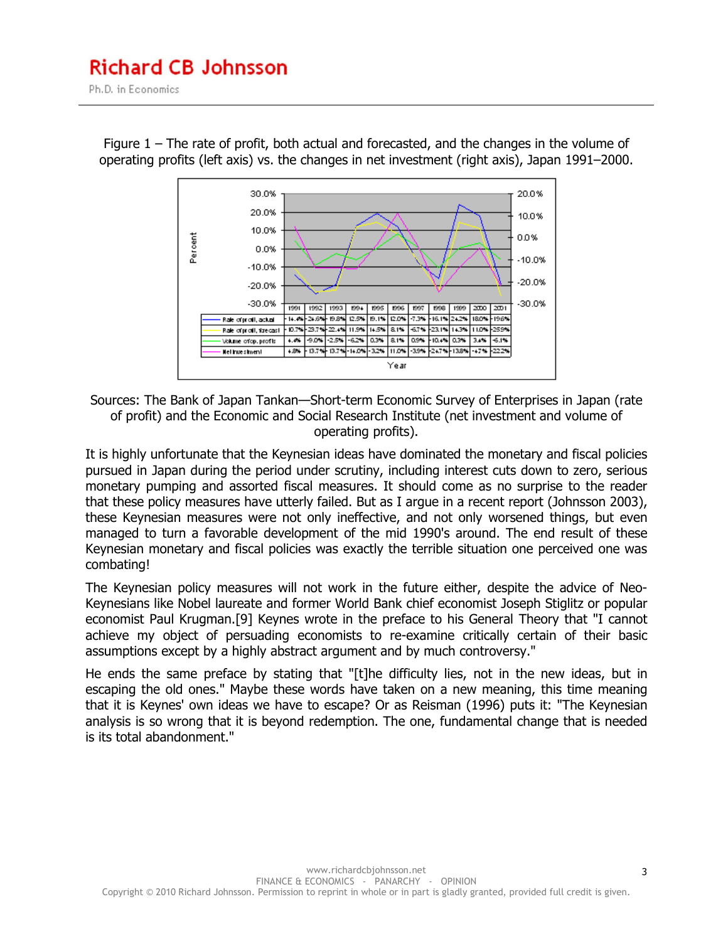Figure 1 – The rate of profit, both actual and forecasted, and the changes in the volume of operating profits (left axis) vs. the changes in net investment (right axis), Japan 1991–2000.



Sources: The Bank of Japan Tankan—Short-term Economic Survey of Enterprises in Japan (rate of profit) and the Economic and Social Research Institute (net investment and volume of operating profits).

It is highly unfortunate that the Keynesian ideas have dominated the monetary and fiscal policies pursued in Japan during the period under scrutiny, including interest cuts down to zero, serious monetary pumping and assorted fiscal measures. It should come as no surprise to the reader that these policy measures have utterly failed. But as I argue in a recent report (Johnsson 2003), these Keynesian measures were not only ineffective, and not only worsened things, but even managed to turn a favorable development of the mid 1990's around. The end result of these Keynesian monetary and fiscal policies was exactly the terrible situation one perceived one was combating!

The Keynesian policy measures will not work in the future either, despite the advice of Neo-Keynesians like Nobel laureate and former World Bank chief economist Joseph Stiglitz or popular economist Paul Krugman.[9] Keynes wrote in the preface to his General Theory that "I cannot achieve my object of persuading economists to re-examine critically certain of their basic assumptions except by a highly abstract argument and by much controversy."

He ends the same preface by stating that "[t]he difficulty lies, not in the new ideas, but in escaping the old ones." Maybe these words have taken on a new meaning, this time meaning that it is Keynes' own ideas we have to escape? Or as Reisman (1996) puts it: "The Keynesian analysis is so wrong that it is beyond redemption. The one, fundamental change that is needed is its total abandonment."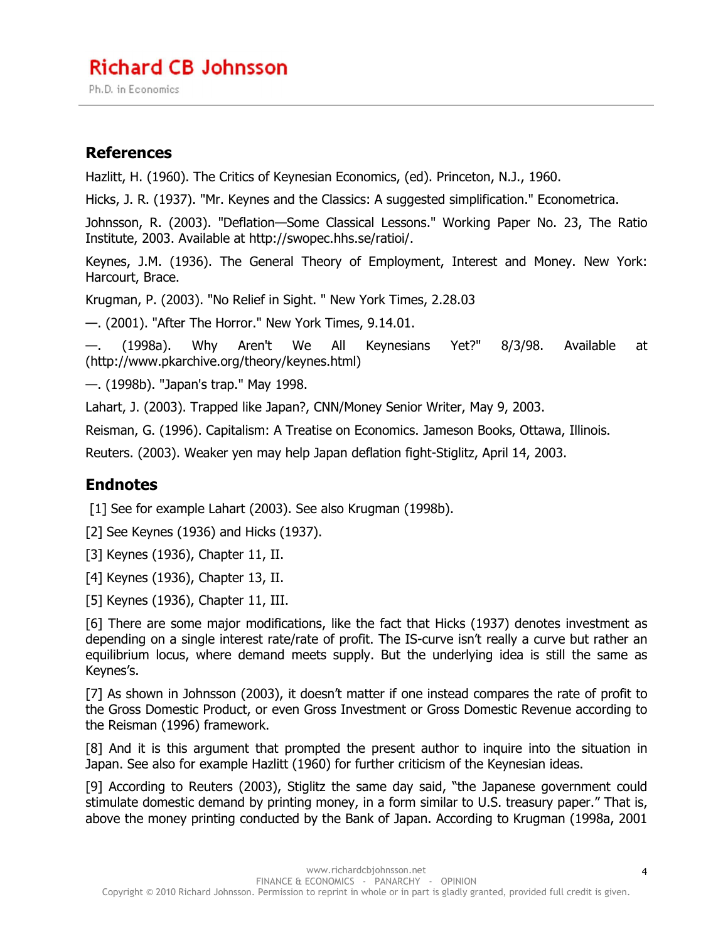### **Richard CB Johnsson**

Ph.D. in Economics

### **References**

Hazlitt, H. (1960). The Critics of Keynesian Economics, (ed). Princeton, N.J., 1960.

Hicks, J. R. (1937). "Mr. Keynes and the Classics: A suggested simplification." Econometrica.

Johnsson, R. (2003). "Deflation—Some Classical Lessons." Working Paper No. 23, The Ratio Institute, 2003. Available at http://swopec.hhs.se/ratioi/.

Keynes, J.M. (1936). The General Theory of Employment, Interest and Money. New York: Harcourt, Brace.

Krugman, P. (2003). "No Relief in Sight. " New York Times, 2.28.03

—. (2001). "After The Horror." New York Times, 9.14.01.

—. (1998a). Why Aren't We All Keynesians Yet?" 8/3/98. Available at (http://www.pkarchive.org/theory/keynes.html)

—. (1998b). "Japan's trap." May 1998.

Lahart, J. (2003). Trapped like Japan?, CNN/Money Senior Writer, May 9, 2003.

Reisman, G. (1996). Capitalism: A Treatise on Economics. Jameson Books, Ottawa, Illinois.

Reuters. (2003). Weaker yen may help Japan deflation fight-Stiglitz, April 14, 2003.

#### **Endnotes**

[1] See for example Lahart (2003). See also Krugman (1998b).

[2] See Keynes (1936) and Hicks (1937).

- [3] Keynes (1936), Chapter 11, II.
- [4] Keynes (1936), Chapter 13, II.
- [5] Keynes (1936), Chapter 11, III.

[6] There are some major modifications, like the fact that Hicks (1937) denotes investment as depending on a single interest rate/rate of profit. The IS-curve isn't really a curve but rather an equilibrium locus, where demand meets supply. But the underlying idea is still the same as Keynes's.

[7] As shown in Johnsson (2003), it doesn't matter if one instead compares the rate of profit to the Gross Domestic Product, or even Gross Investment or Gross Domestic Revenue according to the Reisman (1996) framework.

[8] And it is this argument that prompted the present author to inquire into the situation in Japan. See also for example Hazlitt (1960) for further criticism of the Keynesian ideas.

[9] According to Reuters (2003), Stiglitz the same day said, "the Japanese government could stimulate domestic demand by printing money, in a form similar to U.S. treasury paper." That is, above the money printing conducted by the Bank of Japan. According to Krugman (1998a, 2001

4